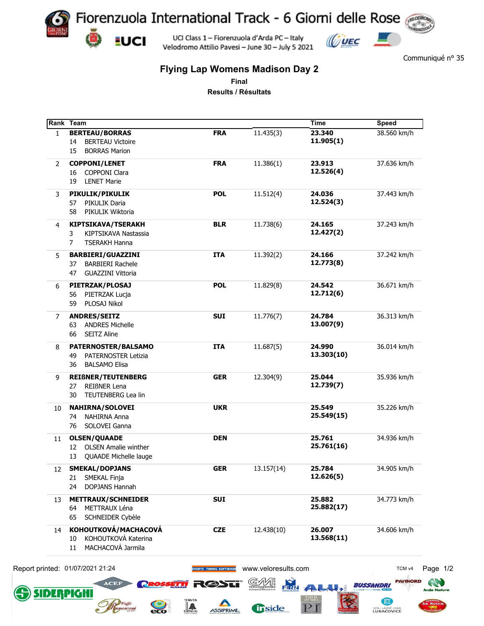

Communiqué n° 35

## **Flying Lap Womens Madison Day 2**

**Final**

**Results / Résultats**

|              | Rank Team                         |                        |                     | Time                | <b>Speed</b>      |
|--------------|-----------------------------------|------------------------|---------------------|---------------------|-------------------|
| $\mathbf{1}$ | <b>BERTEAU/BORRAS</b>             | <b>FRA</b>             | 11.435(3)           | 23.340              | 38.560 km/h       |
|              | <b>BERTEAU Victoire</b><br>14     |                        |                     | 11.905(1)           |                   |
|              | <b>BORRAS Marion</b><br>15        |                        |                     |                     |                   |
| 2            | <b>COPPONI/LENET</b>              | <b>FRA</b>             | 11.386(1)           | 23.913              | 37.636 km/h       |
|              | <b>COPPONI Clara</b><br>16        |                        |                     | 12.526(4)           |                   |
|              | 19<br><b>LENET Marie</b>          |                        |                     |                     |                   |
|              | PIKULIK/PIKULIK                   | <b>POL</b>             | 11.512(4)           | 24.036              | 37.443 km/h       |
| 3            | PIKULIK Daria<br>57               |                        |                     | 12.524(3)           |                   |
|              | PIKULIK Wiktoria                  |                        |                     |                     |                   |
|              | 58                                |                        |                     |                     |                   |
| 4            | <b>KIPTSIKAVA/TSERAKH</b>         | <b>BLR</b>             | 11.738(6)           | 24.165              | 37.243 km/h       |
|              | KIPTSIKAVA Nastassia<br>3         |                        |                     | 12.427(2)           |                   |
|              | 7<br><b>TSERAKH Hanna</b>         |                        |                     |                     |                   |
| 5            | <b>BARBIERI/GUAZZINI</b>          | <b>ITA</b>             | 11.392(2)           | 24.166              | 37.242 km/h       |
|              | <b>BARBIERI Rachele</b><br>37     |                        |                     | 12.773(8)           |                   |
|              | <b>GUAZZINI Vittoria</b><br>47    |                        |                     |                     |                   |
|              |                                   |                        |                     |                     |                   |
| 6            | PIETRZAK/PLOSAJ                   | <b>POL</b>             | 11.829(8)           | 24.542<br>12.712(6) | 36.671 km/h       |
|              | PIETRZAK Lucja<br>56              |                        |                     |                     |                   |
|              | PLOSAJ Nikol<br>59                |                        |                     |                     |                   |
| 7            | <b>ANDRES/SEITZ</b>               | <b>SUI</b>             | 11.776(7)           | 24.784              | 36.313 km/h       |
|              | <b>ANDRES Michelle</b><br>63      |                        |                     | 13.007(9)           |                   |
|              | <b>SEITZ Aline</b><br>66          |                        |                     |                     |                   |
| 8            | PATERNOSTER/BALSAMO               | <b>ITA</b>             | 11.687(5)           | 24.990              | 36.014 km/h       |
|              | PATERNOSTER Letizia<br>49         |                        |                     | 13.303(10)          |                   |
|              | <b>BALSAMO Elisa</b><br>36        |                        |                     |                     |                   |
|              |                                   |                        |                     |                     |                   |
| 9            | <b>REIßNER/TEUTENBERG</b>         | <b>GER</b>             | 12.304(9)           | 25.044              | 35.936 km/h       |
|              | REIßNER Lena<br>27                |                        |                     | 12.739(7)           |                   |
|              | TEUTENBERG Lea lin<br>30          |                        |                     |                     |                   |
| 10           | <b>NAHIRNA/SOLOVEI</b>            | <b>UKR</b>             |                     | 25.549              | 35.226 km/h       |
|              | NAHIRNA Anna<br>74                |                        |                     | 25.549(15)          |                   |
|              | SOLOVEI Ganna<br>76               |                        |                     |                     |                   |
| 11           | <b>OLSEN/QUAADE</b>               | <b>DEN</b>             |                     | 25.761              | 34.936 km/h       |
|              | <b>OLSEN Amalie winther</b><br>12 |                        |                     | 25.761(16)          |                   |
|              | QUAADE Michelle lauge<br>13       |                        |                     |                     |                   |
|              |                                   |                        |                     |                     |                   |
| 12           | <b>SMEKAL/DOPJANS</b>             | <b>GER</b>             | 13.157(14)          | 25.784              | 34.905 km/h       |
|              | SMEKAL Finja<br>21                |                        |                     | 12.626(5)           |                   |
|              | DOPJANS Hannah<br>24              |                        |                     |                     |                   |
| 13           | <b>METTRAUX/SCHNEIDER</b>         | <b>SUI</b>             |                     | 25.882              | 34.773 km/h       |
|              | METTRAUX Léna<br>64               |                        |                     | 25.882(17)          |                   |
|              | SCHNEIDER Cybèle<br>65            |                        |                     |                     |                   |
| 14           | KOHOUTKOVÁ/MACHACOVÁ              | <b>CZE</b>             | 12.438(10)          | 26.007              | 34.606 km/h       |
|              | KOHOUTKOVÁ Katerina<br>10         |                        |                     | 13.568(11)          |                   |
|              | MACHACOVÁ Jarmila<br>11           |                        |                     |                     |                   |
|              |                                   |                        |                     |                     |                   |
|              |                                   |                        |                     |                     |                   |
|              | Report printed: 01/07/2021 21:24  | <b>TIMING SOFTWARE</b> | www.veloresults.com |                     | TCM <sub>v4</sub> |
|              |                                   |                        | <b>FRR</b>          |                     | <b>PAVINORD</b>   |
|              | <b>ACEF</b>                       | $\equiv$ (4)           |                     | <b>LALA</b>         | <b>BUSSANDRI</b>  |